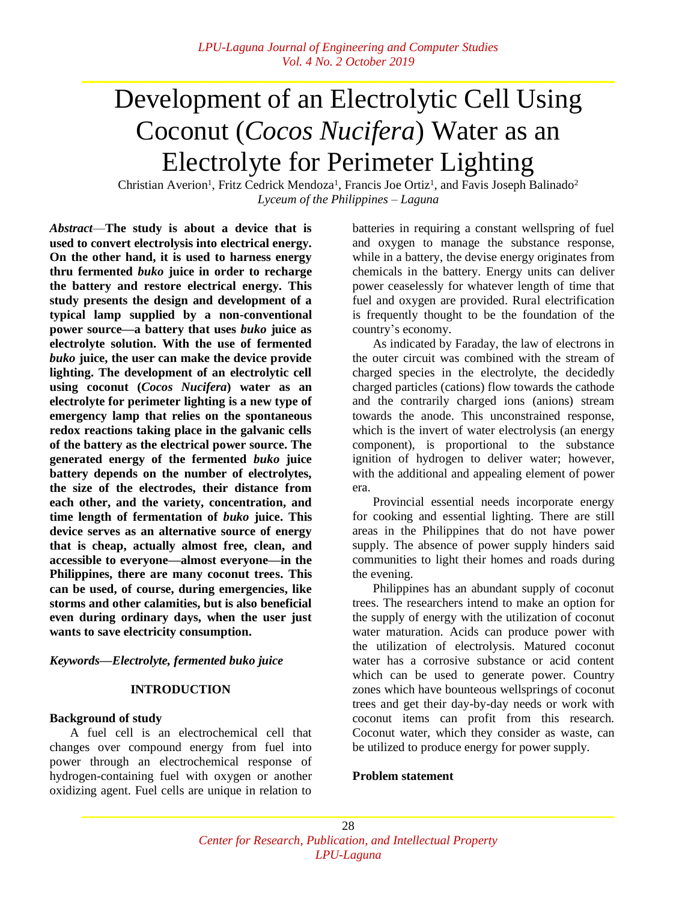# Development of an Electrolytic Cell Using Coconut (*Cocos Nucifera*) Water as an Electrolyte for Perimeter Lighting

Christian Averion<sup>1</sup>, Fritz Cedrick Mendoza<sup>1</sup>, Francis Joe Ortiz<sup>1</sup>, and Favis Joseph Balinado<sup>2</sup> *Lyceum of the Philippines ‒ Laguna*

*Abstract*—**The study is about a device that is used to convert electrolysis into electrical energy. On the other hand, it is used to harness energy thru fermented** *buko* **juice in order to recharge the battery and restore electrical energy. This study presents the design and development of a typical lamp supplied by a non-conventional power source—a battery that uses** *buko* **juice as electrolyte solution. With the use of fermented**  *buko* **juice, the user can make the device provide lighting. The development of an electrolytic cell using coconut (***Cocos Nucifera***) water as an electrolyte for perimeter lighting is a new type of emergency lamp that relies on the spontaneous redox reactions taking place in the galvanic cells of the battery as the electrical power source. The generated energy of the fermented** *buko* **juice battery depends on the number of electrolytes, the size of the electrodes, their distance from each other, and the variety, concentration, and time length of fermentation of** *buko* **juice. This device serves as an alternative source of energy that is cheap, actually almost free, clean, and accessible to everyone—almost everyone—in the Philippines, there are many coconut trees. This can be used, of course, during emergencies, like storms and other calamities, but is also beneficial even during ordinary days, when the user just wants to save electricity consumption.**

# *Keywords—Electrolyte, fermented buko juice*

# **INTRODUCTION**

# **Background of study**

A fuel cell is an electrochemical cell that changes over compound energy from fuel into power through an electrochemical response of hydrogen-containing fuel with oxygen or another oxidizing agent. Fuel cells are unique in relation to

batteries in requiring a constant wellspring of fuel and oxygen to manage the substance response, while in a battery, the devise energy originates from chemicals in the battery. Energy units can deliver power ceaselessly for whatever length of time that fuel and oxygen are provided. Rural electrification is frequently thought to be the foundation of the country's economy.

As indicated by Faraday, the law of electrons in the outer circuit was combined with the stream of charged species in the electrolyte, the decidedly charged particles (cations) flow towards the cathode and the contrarily charged ions (anions) stream towards the anode. This unconstrained response, which is the invert of water electrolysis (an energy component), is proportional to the substance ignition of hydrogen to deliver water; however, with the additional and appealing element of power era.

Provincial essential needs incorporate energy for cooking and essential lighting. There are still areas in the Philippines that do not have power supply. The absence of power supply hinders said communities to light their homes and roads during the evening.

Philippines has an abundant supply of coconut trees. The researchers intend to make an option for the supply of energy with the utilization of coconut water maturation. Acids can produce power with the utilization of electrolysis. Matured coconut water has a corrosive substance or acid content which can be used to generate power. Country zones which have bounteous wellsprings of coconut trees and get their day-by-day needs or work with coconut items can profit from this research. Coconut water, which they consider as waste, can be utilized to produce energy for power supply.

# **Problem statement**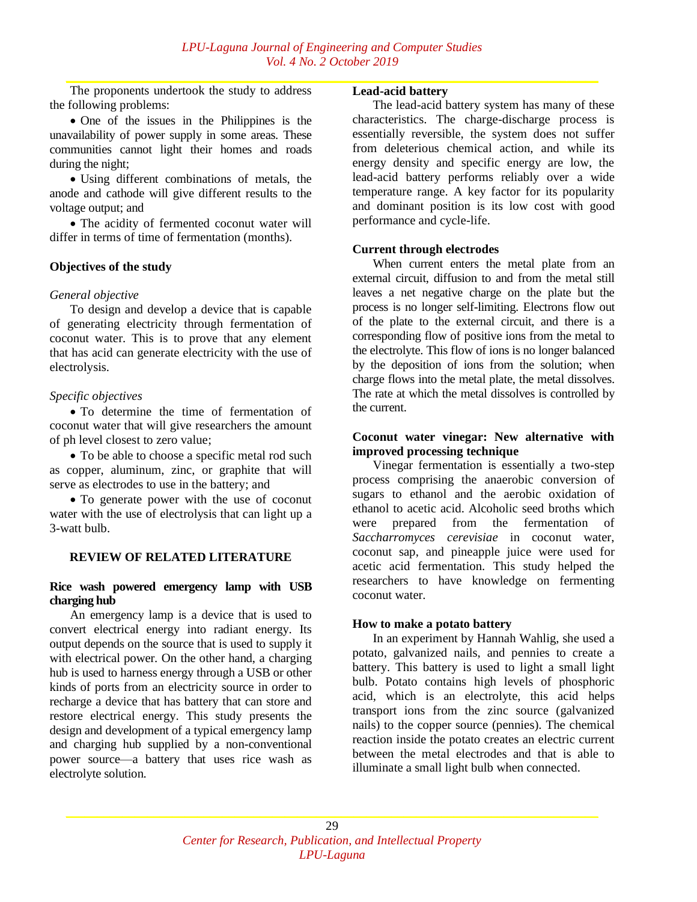The proponents undertook the study to address the following problems:

 One of the issues in the Philippines is the unavailability of power supply in some areas. These communities cannot light their homes and roads during the night;

 Using different combinations of metals, the anode and cathode will give different results to the voltage output; and

• The acidity of fermented coconut water will differ in terms of time of fermentation (months).

#### **Objectives of the study**

#### *General objective*

To design and develop a device that is capable of generating electricity through fermentation of coconut water. This is to prove that any element that has acid can generate electricity with the use of electrolysis.

#### *Specific objectives*

 To determine the time of fermentation of coconut water that will give researchers the amount of ph level closest to zero value;

 To be able to choose a specific metal rod such as copper, aluminum, zinc, or graphite that will serve as electrodes to use in the battery; and

• To generate power with the use of coconut water with the use of electrolysis that can light up a 3-watt bulb.

# **REVIEW OF RELATED LITERATURE**

#### **Rice wash powered emergency lamp with USB charging hub**

An emergency lamp is a device that is used to convert electrical energy into radiant energy. Its output depends on the source that is used to supply it with electrical power. On the other hand, a charging hub is used to harness energy through a USB or other kinds of ports from an electricity source in order to recharge a device that has battery that can store and restore electrical energy. This study presents the design and development of a typical emergency lamp and charging hub supplied by a non-conventional power source—a battery that uses rice wash as electrolyte solution.

#### **Lead-acid battery**

The lead-acid battery system has many of these characteristics. The charge-discharge process is essentially reversible, the system does not suffer from deleterious chemical action, and while its energy density and specific energy are low, the lead-acid battery performs reliably over a wide temperature range. A key factor for its popularity and dominant position is its low cost with good performance and cycle-life.

#### **Current through electrodes**

When current enters the metal plate from an external circuit, diffusion to and from the metal still leaves a net negative charge on the plate but the process is no longer self-limiting. Electrons flow out of the plate to the external circuit, and there is a corresponding flow of positive ions from the metal to the electrolyte. This flow of ions is no longer balanced by the deposition of ions from the solution; when charge flows into the metal plate, the metal dissolves. The rate at which the metal dissolves is controlled by the current.

# **Coconut water vinegar: New alternative with improved processing technique**

Vinegar fermentation is essentially a two-step process comprising the anaerobic conversion of sugars to ethanol and the aerobic oxidation of ethanol to acetic acid. Alcoholic seed broths which were prepared from the fermentation of *Saccharromyces cerevisiae* in coconut water, coconut sap, and pineapple juice were used for acetic acid fermentation. This study helped the researchers to have knowledge on fermenting coconut water.

#### **How to make a potato battery**

In an experiment by Hannah Wahlig, she used a potato, galvanized nails, and pennies to create a battery. This battery is used to light a small light bulb. Potato contains high levels of phosphoric acid, which is an electrolyte, this acid helps transport ions from the zinc source (galvanized nails) to the copper source (pennies). The chemical reaction inside the potato creates an electric current between the metal electrodes and that is able to illuminate a small light bulb when connected.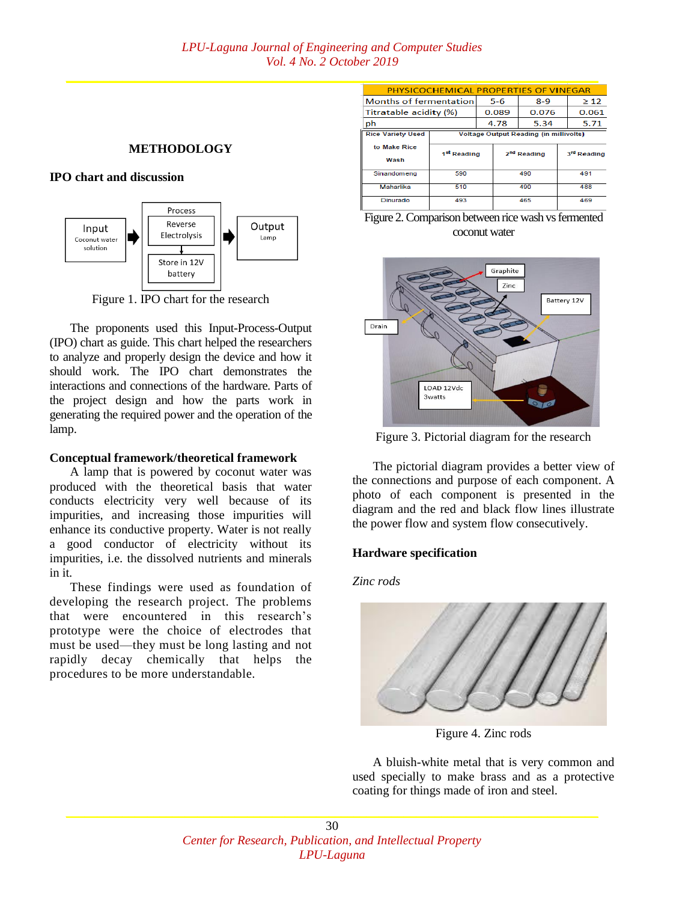# **METHODOLOGY**

#### **IPO chart and discussion**



Figure 1. IPO chart for the research

The proponents used this Input-Process-Output (IPO) chart as guide. This chart helped the researchers to analyze and properly design the device and how it should work. The IPO chart demonstrates the interactions and connections of the hardware. Parts of the project design and how the parts work in generating the required power and the operation of the lamp.

## **Conceptual framework/theoretical framework**

A lamp that is powered by coconut water was produced with the theoretical basis that water conducts electricity very well because of its impurities, and increasing those impurities will enhance its conductive property. Water is not really a good conductor of electricity without its impurities, i.e. the dissolved nutrients and minerals in it.

These findings were used as foundation of developing the research project. The problems that were encountered in this research's prototype were the choice of electrodes that must be used—they must be long lasting and not rapidly decay chemically that helps the procedures to be more understandable.

| <b>PHYSICOCHEMICAL PROPERTIES OF VINEGAR</b> |                                               |       |      |                         |     |             |  |
|----------------------------------------------|-----------------------------------------------|-------|------|-------------------------|-----|-------------|--|
| Months of fermentation                       |                                               | $5-6$ |      | $8 - 9$                 |     | $\geq 12$   |  |
| Titratable acidity (%)                       |                                               | 0.089 |      | 0.076                   |     | 0.061       |  |
| ph                                           |                                               |       | 4.78 | 5.34                    |     | 5.71        |  |
| <b>Rice Variety Used</b>                     | <b>Voltage Output Reading (in millivolts)</b> |       |      |                         |     |             |  |
| to Make Rice                                 |                                               |       |      | 2 <sup>nd</sup> Reading |     | 3rd Reading |  |
| Wash                                         | 1 <sup>st</sup> Reading                       |       |      |                         |     |             |  |
| Sinandomeng                                  | 590                                           |       | 490  |                         | 491 |             |  |
| Maharlika                                    | 510                                           |       | 490  |                         | 488 |             |  |
| Dinurado                                     | 493                                           |       | 465  |                         | 469 |             |  |





Figure 3. Pictorial diagram for the research

The pictorial diagram provides a better view of the connections and purpose of each component. A photo of each component is presented in the diagram and the red and black flow lines illustrate the power flow and system flow consecutively.

# **Hardware specification**

*Zinc rods*



Figure 4. Zinc rods

A bluish-white metal that is very common and used specially to make brass and as a protective coating for things made of iron and steel.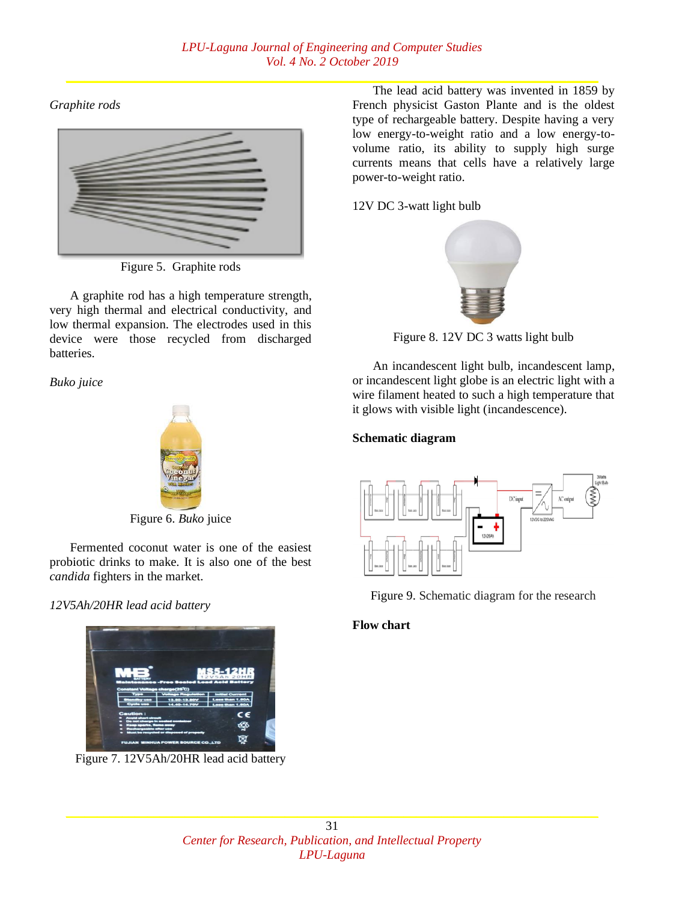*Graphite rods*



Figure 5. Graphite rods

A graphite rod has a high temperature strength, very high thermal and electrical conductivity, and low thermal expansion. The electrodes used in this device were those recycled from discharged batteries.

*Buko juice*



Figure 6. *Buko* juice

Fermented coconut water is one of the easiest probiotic drinks to make. It is also one of the best *candida* fighters in the market.

# *12V5Ah/20HR lead acid battery*



Figure 7. 12V5Ah/20HR lead acid battery

The lead acid battery was invented in 1859 by French physicist Gaston Plante and is the oldest type of rechargeable battery. Despite having a very low energy-to-weight ratio and a low energy-tovolume ratio, its ability to supply high surge currents means that cells have a relatively large power-to-weight ratio.

# 12V DC 3-watt light bulb



Figure 8. 12V DC 3 watts light bulb

An incandescent light bulb, incandescent lamp, or incandescent light globe is an [electric light](https://en.wikipedia.org/wiki/Electric_light) with a wire [filament](https://en.wikipedia.org/wiki/Incandescent_light_bulb#Filament) heated to such a high temperature that it glows with visible light [\(incandescence\)](https://en.wikipedia.org/wiki/Incandescence).

# **Schematic diagram**



Figure 9. Schematic diagram for the research

# **Flow chart**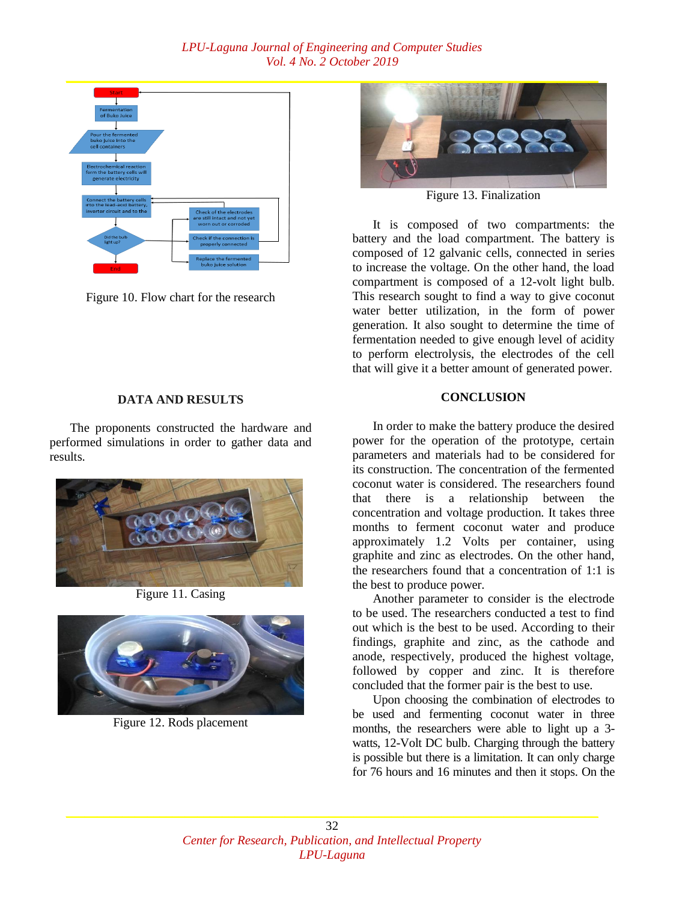

Figure 10. Flow chart for the research

# **DATA AND RESULTS**

The proponents constructed the hardware and performed simulations in order to gather data and results.



Figure 11. Casing



Figure 12. Rods placement



Figure 13. Finalization

It is composed of two compartments: the battery and the load compartment. The battery is composed of 12 galvanic cells, connected in series to increase the voltage. On the other hand, the load compartment is composed of a 12-volt light bulb. This research sought to find a way to give coconut water better utilization, in the form of power generation. It also sought to determine the time of fermentation needed to give enough level of acidity to perform electrolysis, the electrodes of the cell that will give it a better amount of generated power.

# **CONCLUSION**

In order to make the battery produce the desired power for the operation of the prototype, certain parameters and materials had to be considered for its construction. The concentration of the fermented coconut water is considered. The researchers found that there is a relationship between the concentration and voltage production. It takes three months to ferment coconut water and produce approximately 1.2 Volts per container, using graphite and zinc as electrodes. On the other hand, the researchers found that a concentration of 1:1 is the best to produce power.

Another parameter to consider is the electrode to be used. The researchers conducted a test to find out which is the best to be used. According to their findings, graphite and zinc, as the cathode and anode, respectively, produced the highest voltage, followed by copper and zinc. It is therefore concluded that the former pair is the best to use.

Upon choosing the combination of electrodes to be used and fermenting coconut water in three months, the researchers were able to light up a 3 watts, 12-Volt DC bulb. Charging through the battery is possible but there is a limitation. It can only charge for 76 hours and 16 minutes and then it stops. On the